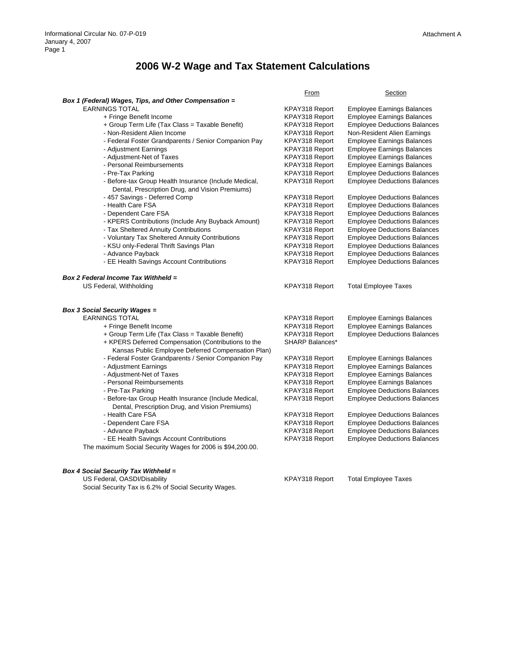## Attachment A

## **2006 W-2 Wage and Tax Statement Calculations**

|                                                            | <u>From</u>            | <b>Section</b>                      |  |
|------------------------------------------------------------|------------------------|-------------------------------------|--|
| Box 1 (Federal) Wages, Tips, and Other Compensation =      |                        |                                     |  |
| <b>EARNINGS TOTAL</b>                                      | KPAY318 Report         | <b>Employee Earnings Balances</b>   |  |
| + Fringe Benefit Income                                    | KPAY318 Report         | <b>Employee Earnings Balances</b>   |  |
| + Group Term Life (Tax Class = Taxable Benefit)            | KPAY318 Report         | <b>Employee Deductions Balances</b> |  |
| - Non-Resident Alien Income                                | KPAY318 Report         | Non-Resident Alien Earnings         |  |
| - Federal Foster Grandparents / Senior Companion Pay       | KPAY318 Report         | <b>Employee Earnings Balances</b>   |  |
| - Adjustment Earnings                                      | KPAY318 Report         | <b>Employee Earnings Balances</b>   |  |
| - Adjustment-Net of Taxes                                  | KPAY318 Report         | <b>Employee Earnings Balances</b>   |  |
| - Personal Reimbursements                                  | KPAY318 Report         | <b>Employee Earnings Balances</b>   |  |
| - Pre-Tax Parking                                          | KPAY318 Report         | <b>Employee Deductions Balances</b> |  |
| - Before-tax Group Health Insurance (Include Medical,      | KPAY318 Report         | <b>Employee Deductions Balances</b> |  |
| Dental, Prescription Drug, and Vision Premiums)            |                        |                                     |  |
| - 457 Savings - Deferred Comp                              | KPAY318 Report         | <b>Employee Deductions Balances</b> |  |
| - Health Care FSA                                          | KPAY318 Report         | <b>Employee Deductions Balances</b> |  |
| - Dependent Care FSA                                       | KPAY318 Report         | <b>Employee Deductions Balances</b> |  |
| - KPERS Contributions (Include Any Buyback Amount)         | KPAY318 Report         | <b>Employee Deductions Balances</b> |  |
| - Tax Sheltered Annuity Contributions                      | KPAY318 Report         | <b>Employee Deductions Balances</b> |  |
| - Voluntary Tax Sheltered Annuity Contributions            | KPAY318 Report         | <b>Employee Deductions Balances</b> |  |
| - KSU only-Federal Thrift Savings Plan                     | KPAY318 Report         | <b>Employee Deductions Balances</b> |  |
| - Advance Payback                                          | KPAY318 Report         | <b>Employee Deductions Balances</b> |  |
| - EE Health Savings Account Contributions                  | KPAY318 Report         | <b>Employee Deductions Balances</b> |  |
|                                                            |                        |                                     |  |
| Box 2 Federal Income Tax Withheld =                        |                        |                                     |  |
| US Federal, Withholding                                    | KPAY318 Report         | <b>Total Employee Taxes</b>         |  |
|                                                            |                        |                                     |  |
|                                                            |                        |                                     |  |
| <b>Box 3 Social Security Wages =</b>                       |                        |                                     |  |
| <b>EARNINGS TOTAL</b>                                      | KPAY318 Report         | <b>Employee Earnings Balances</b>   |  |
| + Fringe Benefit Income                                    | KPAY318 Report         | <b>Employee Earnings Balances</b>   |  |
| + Group Term Life (Tax Class = Taxable Benefit)            | KPAY318 Report         | <b>Employee Deductions Balances</b> |  |
| + KPERS Deferred Compensation (Contributions to the        | <b>SHARP Balances*</b> |                                     |  |
| Kansas Public Employee Deferred Compensation Plan)         |                        |                                     |  |
| - Federal Foster Grandparents / Senior Companion Pay       | KPAY318 Report         | <b>Employee Earnings Balances</b>   |  |
| - Adjustment Earnings                                      | KPAY318 Report         | <b>Employee Earnings Balances</b>   |  |
| - Adjustment-Net of Taxes                                  | KPAY318 Report         | <b>Employee Earnings Balances</b>   |  |
| - Personal Reimbursements                                  | KPAY318 Report         | <b>Employee Earnings Balances</b>   |  |
|                                                            |                        |                                     |  |
| - Pre-Tax Parking                                          | KPAY318 Report         | <b>Employee Deductions Balances</b> |  |
| - Before-tax Group Health Insurance (Include Medical,      | KPAY318 Report         | <b>Employee Deductions Balances</b> |  |
| Dental, Prescription Drug, and Vision Premiums)            |                        |                                     |  |
| - Health Care FSA                                          | KPAY318 Report         | <b>Employee Deductions Balances</b> |  |
| - Dependent Care FSA                                       | KPAY318 Report         | <b>Employee Deductions Balances</b> |  |
| - Advance Payback                                          | KPAY318 Report         | <b>Employee Deductions Balances</b> |  |
| - EE Health Savings Account Contributions                  | KPAY318 Report         | <b>Employee Deductions Balances</b> |  |
| The maximum Social Security Wages for 2006 is \$94,200.00. |                        |                                     |  |
|                                                            |                        |                                     |  |
|                                                            |                        |                                     |  |

*Box 4 Social Security Tax Withheld =* 

Social Security Tax is 6.2% of Social Security Wages.

US Federal, OASDI/Disability and the Case of the KPAY318 Report Total Employee Taxes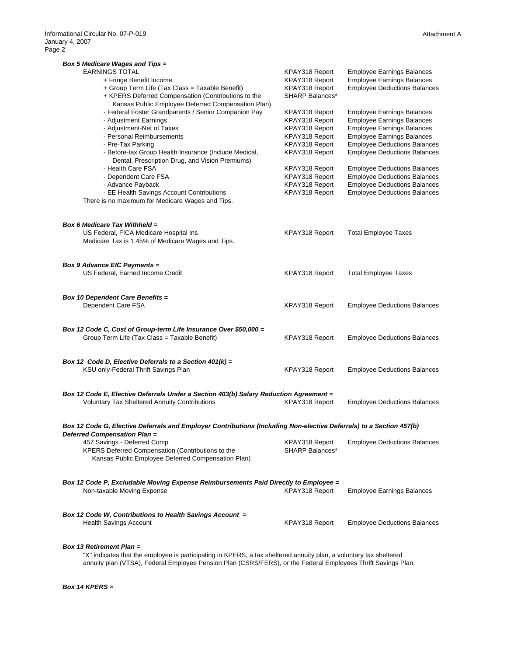| <b>Box 5 Medicare Wages and Tips =</b>                                                                              |                                   |                                     |
|---------------------------------------------------------------------------------------------------------------------|-----------------------------------|-------------------------------------|
| <b>EARNINGS TOTAL</b>                                                                                               | KPAY318 Report                    | <b>Employee Earnings Balances</b>   |
| + Fringe Benefit Income                                                                                             | KPAY318 Report                    | <b>Employee Earnings Balances</b>   |
| + Group Term Life (Tax Class = Taxable Benefit)                                                                     | KPAY318 Report                    | <b>Employee Deductions Balances</b> |
| + KPERS Deferred Compensation (Contributions to the                                                                 | <b>SHARP Balances*</b>            |                                     |
| Kansas Public Employee Deferred Compensation Plan)                                                                  |                                   |                                     |
| - Federal Foster Grandparents / Senior Companion Pay                                                                | KPAY318 Report                    | <b>Employee Earnings Balances</b>   |
| - Adjustment Earnings                                                                                               | KPAY318 Report                    | <b>Employee Earnings Balances</b>   |
|                                                                                                                     |                                   |                                     |
| - Adjustment-Net of Taxes<br>- Personal Reimbursements                                                              | KPAY318 Report                    | <b>Employee Earnings Balances</b>   |
|                                                                                                                     | KPAY318 Report                    | <b>Employee Earnings Balances</b>   |
| - Pre-Tax Parking                                                                                                   | KPAY318 Report                    | <b>Employee Deductions Balances</b> |
| - Before-tax Group Health Insurance (Include Medical,                                                               | KPAY318 Report                    | <b>Employee Deductions Balances</b> |
| Dental, Prescription Drug, and Vision Premiums)                                                                     |                                   |                                     |
| - Health Care FSA                                                                                                   | KPAY318 Report                    | <b>Employee Deductions Balances</b> |
| - Dependent Care FSA                                                                                                | KPAY318 Report                    | <b>Employee Deductions Balances</b> |
| - Advance Payback                                                                                                   | KPAY318 Report                    | <b>Employee Deductions Balances</b> |
| - EE Health Savings Account Contributions                                                                           | KPAY318 Report                    | <b>Employee Deductions Balances</b> |
| There is no maximum for Medicare Wages and Tips.                                                                    |                                   |                                     |
|                                                                                                                     |                                   |                                     |
| Box 6 Medicare Tax Withheld =                                                                                       |                                   |                                     |
| US Federal, FICA Medicare Hospital Ins                                                                              | KPAY318 Report                    | <b>Total Employee Taxes</b>         |
| Medicare Tax is 1.45% of Medicare Wages and Tips.                                                                   |                                   |                                     |
|                                                                                                                     |                                   |                                     |
| <b>Box 9 Advance EIC Payments =</b>                                                                                 |                                   |                                     |
| US Federal, Earned Income Credit                                                                                    | KPAY318 Report                    | <b>Total Employee Taxes</b>         |
|                                                                                                                     |                                   |                                     |
|                                                                                                                     |                                   |                                     |
| <b>Box 10 Dependent Care Benefits =</b>                                                                             |                                   |                                     |
| Dependent Care FSA                                                                                                  | KPAY318 Report                    | <b>Employee Deductions Balances</b> |
|                                                                                                                     |                                   |                                     |
| Box 12 Code C, Cost of Group-term Life Insurance Over \$50,000 =                                                    |                                   |                                     |
| Group Term Life (Tax Class = Taxable Benefit)                                                                       | KPAY318 Report                    | <b>Employee Deductions Balances</b> |
|                                                                                                                     |                                   |                                     |
|                                                                                                                     |                                   |                                     |
| Box 12 Code D, Elective Deferrals to a Section $401(k) =$                                                           |                                   |                                     |
| KSU only-Federal Thrift Savings Plan                                                                                | KPAY318 Report                    | <b>Employee Deductions Balances</b> |
|                                                                                                                     |                                   |                                     |
| Box 12 Code E, Elective Deferrals Under a Section 403(b) Salary Reduction Agreement =                               |                                   |                                     |
| <b>Voluntary Tax Sheltered Annuity Contributions</b>                                                                | KPAY318 Report                    | <b>Employee Deductions Balances</b> |
|                                                                                                                     |                                   |                                     |
|                                                                                                                     |                                   |                                     |
| Box 12 Code G, Elective Deferrals and Employer Contributions (Including Non-elective Deferrals) to a Section 457(b) |                                   |                                     |
| Deferred Compensation Plan =                                                                                        |                                   |                                     |
| 457 Savings - Deferred Comp                                                                                         | KPAY318 Report<br>SHARP Balances* | <b>Employee Deductions Balances</b> |
| KPERS Deferred Compensation (Contributions to the                                                                   |                                   |                                     |
| Kansas Public Employee Deferred Compensation Plan)                                                                  |                                   |                                     |
|                                                                                                                     |                                   |                                     |
| Box 12 Code P, Excludable Moving Expense Reimbursements Paid Directly to Employee =                                 |                                   |                                     |
| Non-taxable Moving Expense                                                                                          | KPAY318 Report                    | <b>Employee Earnings Balances</b>   |
|                                                                                                                     |                                   |                                     |
| Box 12 Code W, Contributions to Health Savings Account =                                                            |                                   |                                     |
| <b>Health Savings Account</b>                                                                                       | KPAY318 Report                    | <b>Employee Deductions Balances</b> |
|                                                                                                                     |                                   |                                     |
|                                                                                                                     |                                   |                                     |

*Box 13 Retirement Plan =* 

"X" indicates that the employee is participating in KPERS, a tax sheltered annuity plan, a voluntary tax sheltered annuity plan (VTSA), Federal Employee Pension Plan (CSRS/FERS), or the Federal Employees Thrift Savings Plan.